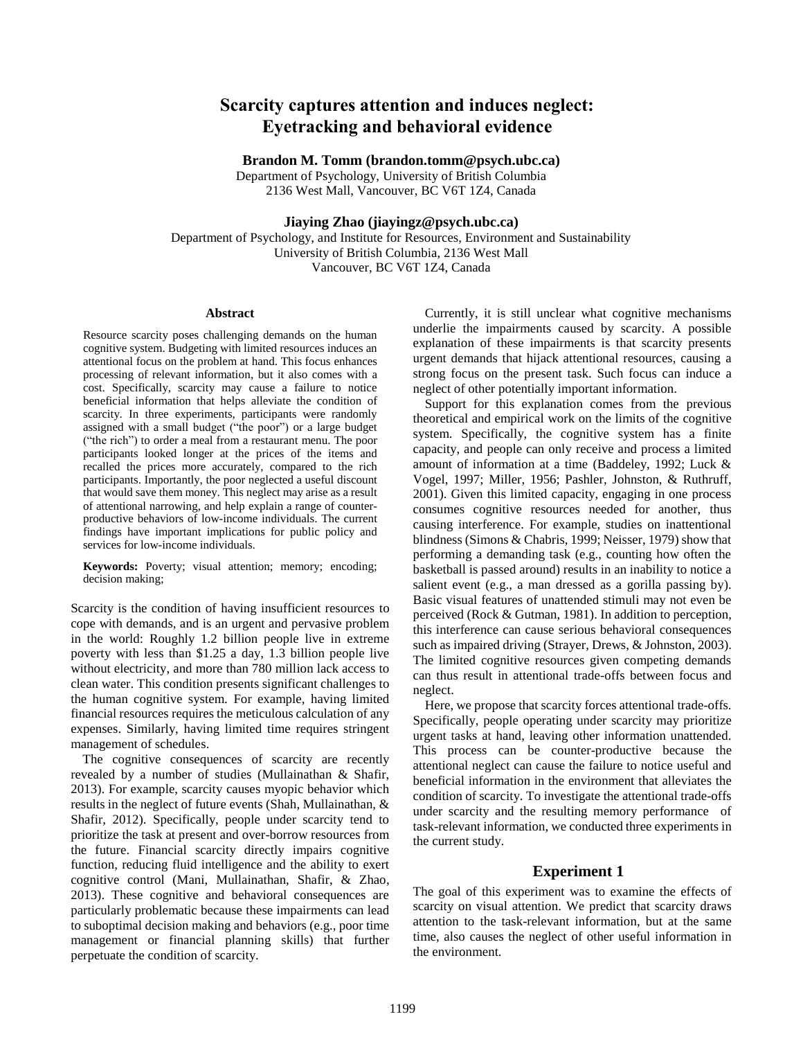# **Scarcity captures attention and induces neglect: Eyetracking and behavioral evidence**

**Brandon M. Tomm (brandon.tomm@psych.ubc.ca)**

Department of Psychology, University of British Columbia 2136 West Mall, Vancouver, BC V6T 1Z4, Canada

**Jiaying Zhao (jiayingz@psych.ubc.ca)**

Department of Psychology, and Institute for Resources, Environment and Sustainability University of British Columbia, 2136 West Mall Vancouver, BC V6T 1Z4, Canada

#### **Abstract**

Resource scarcity poses challenging demands on the human cognitive system. Budgeting with limited resources induces an attentional focus on the problem at hand. This focus enhances processing of relevant information, but it also comes with a cost. Specifically, scarcity may cause a failure to notice beneficial information that helps alleviate the condition of scarcity. In three experiments, participants were randomly assigned with a small budget ("the poor") or a large budget ("the rich") to order a meal from a restaurant menu. The poor participants looked longer at the prices of the items and recalled the prices more accurately, compared to the rich participants. Importantly, the poor neglected a useful discount that would save them money. This neglect may arise as a result of attentional narrowing, and help explain a range of counterproductive behaviors of low-income individuals. The current findings have important implications for public policy and services for low-income individuals.

**Keywords:** Poverty; visual attention; memory; encoding; decision making;

Scarcity is the condition of having insufficient resources to cope with demands, and is an urgent and pervasive problem in the world: Roughly 1.2 billion people live in extreme poverty with less than \$1.25 a day, 1.3 billion people live without electricity, and more than 780 million lack access to clean water. This condition presents significant challenges to the human cognitive system. For example, having limited financial resources requires the meticulous calculation of any expenses. Similarly, having limited time requires stringent management of schedules.

The cognitive consequences of scarcity are recently revealed by a number of studies (Mullainathan & Shafir, 2013). For example, scarcity causes myopic behavior which results in the neglect of future events (Shah, Mullainathan, & Shafir, 2012). Specifically, people under scarcity tend to prioritize the task at present and over-borrow resources from the future. Financial scarcity directly impairs cognitive function, reducing fluid intelligence and the ability to exert cognitive control (Mani, Mullainathan, Shafir, & Zhao, 2013). These cognitive and behavioral consequences are particularly problematic because these impairments can lead to suboptimal decision making and behaviors (e.g., poor time management or financial planning skills) that further perpetuate the condition of scarcity.

Currently, it is still unclear what cognitive mechanisms underlie the impairments caused by scarcity. A possible explanation of these impairments is that scarcity presents urgent demands that hijack attentional resources, causing a strong focus on the present task. Such focus can induce a neglect of other potentially important information.

Support for this explanation comes from the previous theoretical and empirical work on the limits of the cognitive system. Specifically, the cognitive system has a finite capacity, and people can only receive and process a limited amount of information at a time (Baddeley, 1992; Luck & Vogel, 1997; Miller, 1956; Pashler, Johnston, & Ruthruff, 2001). Given this limited capacity, engaging in one process consumes cognitive resources needed for another, thus causing interference. For example, studies on inattentional blindness (Simons & Chabris, 1999; Neisser, 1979) show that performing a demanding task (e.g., counting how often the basketball is passed around) results in an inability to notice a salient event (e.g., a man dressed as a gorilla passing by). Basic visual features of unattended stimuli may not even be perceived (Rock & Gutman, 1981). In addition to perception, this interference can cause serious behavioral consequences such as impaired driving (Strayer, Drews, & Johnston, 2003). The limited cognitive resources given competing demands can thus result in attentional trade-offs between focus and neglect.

Here, we propose that scarcity forces attentional trade-offs. Specifically, people operating under scarcity may prioritize urgent tasks at hand, leaving other information unattended. This process can be counter-productive because the attentional neglect can cause the failure to notice useful and beneficial information in the environment that alleviates the condition of scarcity. To investigate the attentional trade-offs under scarcity and the resulting memory performance of task-relevant information, we conducted three experiments in the current study.

## **Experiment 1**

The goal of this experiment was to examine the effects of scarcity on visual attention. We predict that scarcity draws attention to the task-relevant information, but at the same time, also causes the neglect of other useful information in the environment.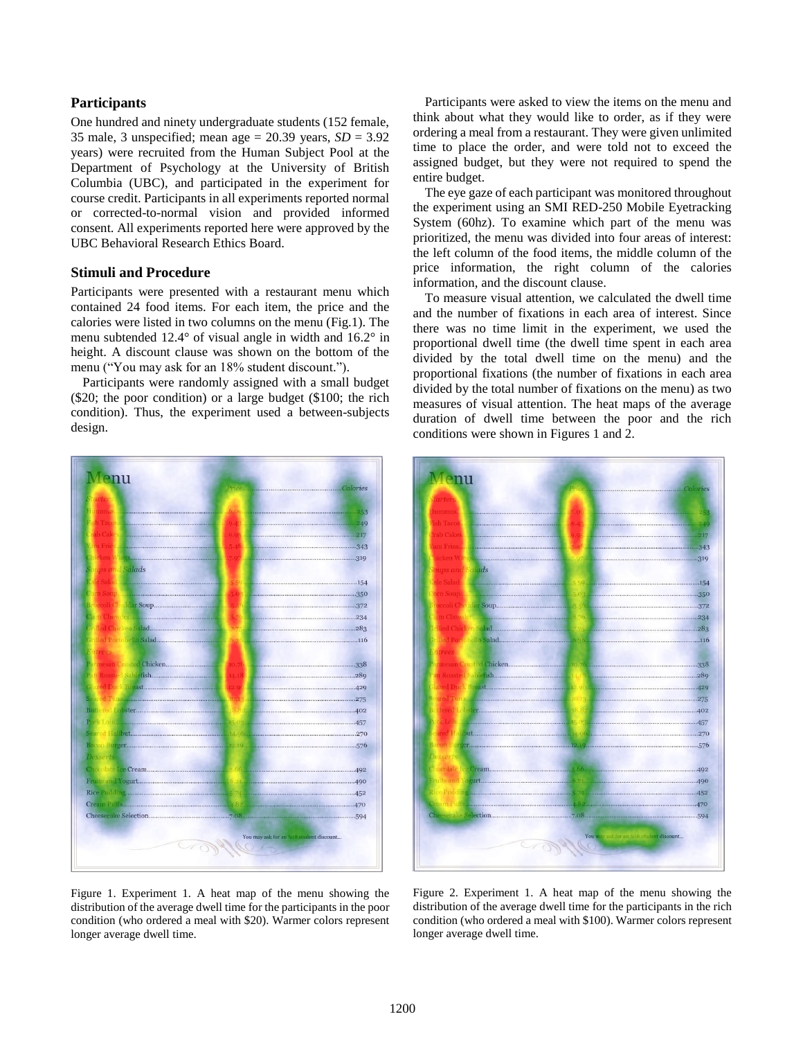# **Participants**

One hundred and ninety undergraduate students (152 female, 35 male, 3 unspecified; mean age = 20.39 years, *SD* = 3.92 years) were recruited from the Human Subject Pool at the Department of Psychology at the University of British Columbia (UBC), and participated in the experiment for course credit. Participants in all experiments reported normal or corrected-to-normal vision and provided informed consent. All experiments reported here were approved by the UBC Behavioral Research Ethics Board.

## **Stimuli and Procedure**

Participants were presented with a restaurant menu which contained 24 food items. For each item, the price and the calories were listed in two columns on the menu (Fig.1). The menu subtended 12.4° of visual angle in width and 16.2° in height. A discount clause was shown on the bottom of the menu ("You may ask for an 18% student discount.").

Participants were randomly assigned with a small budget (\$20; the poor condition) or a large budget (\$100; the rich condition). Thus, the experiment used a between-subjects design.

Participants were asked to view the items on the menu and think about what they would like to order, as if they were ordering a meal from a restaurant. They were given unlimited time to place the order, and were told not to exceed the assigned budget, but they were not required to spend the entire budget.

The eye gaze of each participant was monitored throughout the experiment using an SMI RED-250 Mobile Eyetracking System (60hz). To examine which part of the menu was prioritized, the menu was divided into four areas of interest: the left column of the food items, the middle column of the price information, the right column of the calories information, and the discount clause.

To measure visual attention, we calculated the dwell time and the number of fixations in each area of interest. Since there was no time limit in the experiment, we used the proportional dwell time (the dwell time spent in each area divided by the total dwell time on the menu) and the proportional fixations (the number of fixations in each area divided by the total number of fixations on the menu) as two measures of visual attention. The heat maps of the average duration of dwell time between the poor and the rich conditions were shown in Figures 1 and 2.



Figure 1. Experiment 1. A heat map of the menu showing the distribution of the average dwell time for the participants in the poor condition (who ordered a meal with \$20). Warmer colors represent longer average dwell time.



Figure 2. Experiment 1. A heat map of the menu showing the distribution of the average dwell time for the participants in the rich condition (who ordered a meal with \$100). Warmer colors represent longer average dwell time.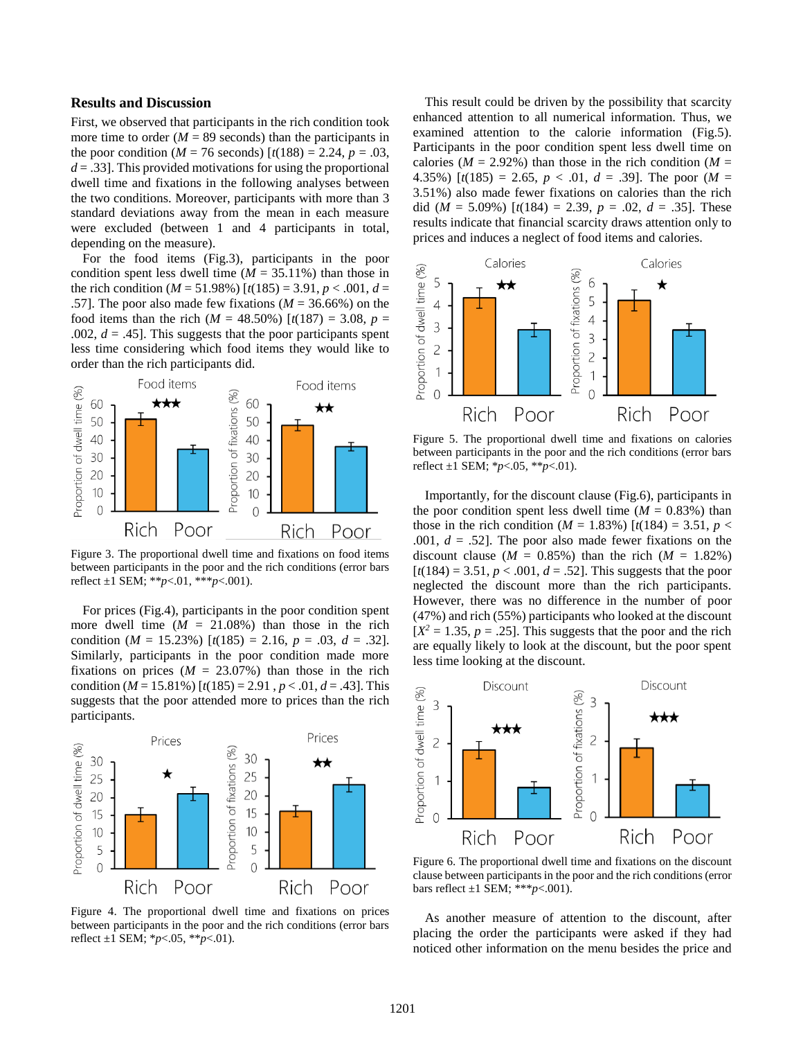#### **Results and Discussion**

First, we observed that participants in the rich condition took more time to order  $(M = 89$  seconds) than the participants in the poor condition ( $M = 76$  seconds) [ $t(188) = 2.24$ ,  $p = .03$ ,  $d = 0.33$ . This provided motivations for using the proportional dwell time and fixations in the following analyses between the two conditions. Moreover, participants with more than 3 standard deviations away from the mean in each measure were excluded (between 1 and 4 participants in total, depending on the measure).

For the food items (Fig.3), participants in the poor condition spent less dwell time ( $M = 35.11\%$ ) than those in the rich condition ( $M = 51.98\%$ ) [ $t(185) = 3.91$ ,  $p < .001$ ,  $d =$ .57]. The poor also made few fixations (*M* = 36.66%) on the food items than the rich ( $M = 48.50\%$ ) [ $t(187) = 3.08$ ,  $p =$ .002,  $d = .45$ ]. This suggests that the poor participants spent less time considering which food items they would like to order than the rich participants did.



Figure 3. The proportional dwell time and fixations on food items between participants in the poor and the rich conditions (error bars reflect ±1 SEM; \*\**p*<.01, \*\*\**p*<.001).

For prices (Fig.4), participants in the poor condition spent more dwell time  $(M = 21.08\%)$  than those in the rich condition ( $M = 15.23\%$ ) [ $t(185) = 2.16$ ,  $p = .03$ ,  $d = .32$ ]. Similarly, participants in the poor condition made more fixations on prices  $(M = 23.07\%)$  than those in the rich condition ( $M = 15.81\%$ ) [ $t(185) = 2.91$ ,  $p < .01$ ,  $d = .43$ ]. This suggests that the poor attended more to prices than the rich participants.



Figure 4. The proportional dwell time and fixations on prices between participants in the poor and the rich conditions (error bars reflect ±1 SEM; \**p*<.05, \*\**p*<.01).

This result could be driven by the possibility that scarcity enhanced attention to all numerical information. Thus, we examined attention to the calorie information (Fig.5). Participants in the poor condition spent less dwell time on calories ( $M = 2.92\%$ ) than those in the rich condition ( $M =$ 4.35%)  $[t(185) = 2.65, p < .01, d = .39]$ . The poor  $(M =$ 3.51%) also made fewer fixations on calories than the rich did ( $M = 5.09\%$ ) [ $t(184) = 2.39$ ,  $p = .02$ ,  $d = .35$ ]. These results indicate that financial scarcity draws attention only to prices and induces a neglect of food items and calories.



Figure 5. The proportional dwell time and fixations on calories between participants in the poor and the rich conditions (error bars reflect ±1 SEM; \**p*<.05, \*\**p*<.01).

Importantly, for the discount clause (Fig.6), participants in the poor condition spent less dwell time  $(M = 0.83\%)$  than those in the rich condition ( $M = 1.83\%$ ) [ $t(184) = 3.51$ ,  $p <$ .001,  $d = .52$ . The poor also made fewer fixations on the discount clause ( $M = 0.85\%$ ) than the rich ( $M = 1.82\%$ )  $[t(184) = 3.51, p < .001, d = .52]$ . This suggests that the poor neglected the discount more than the rich participants. However, there was no difference in the number of poor (47%) and rich (55%) participants who looked at the discount  $[X^2 = 1.35, p = .25]$ . This suggests that the poor and the rich are equally likely to look at the discount, but the poor spent less time looking at the discount.



Figure 6. The proportional dwell time and fixations on the discount clause between participants in the poor and the rich conditions (error bars reflect  $\pm 1$  SEM; \*\*\**p*<.001).

As another measure of attention to the discount, after placing the order the participants were asked if they had noticed other information on the menu besides the price and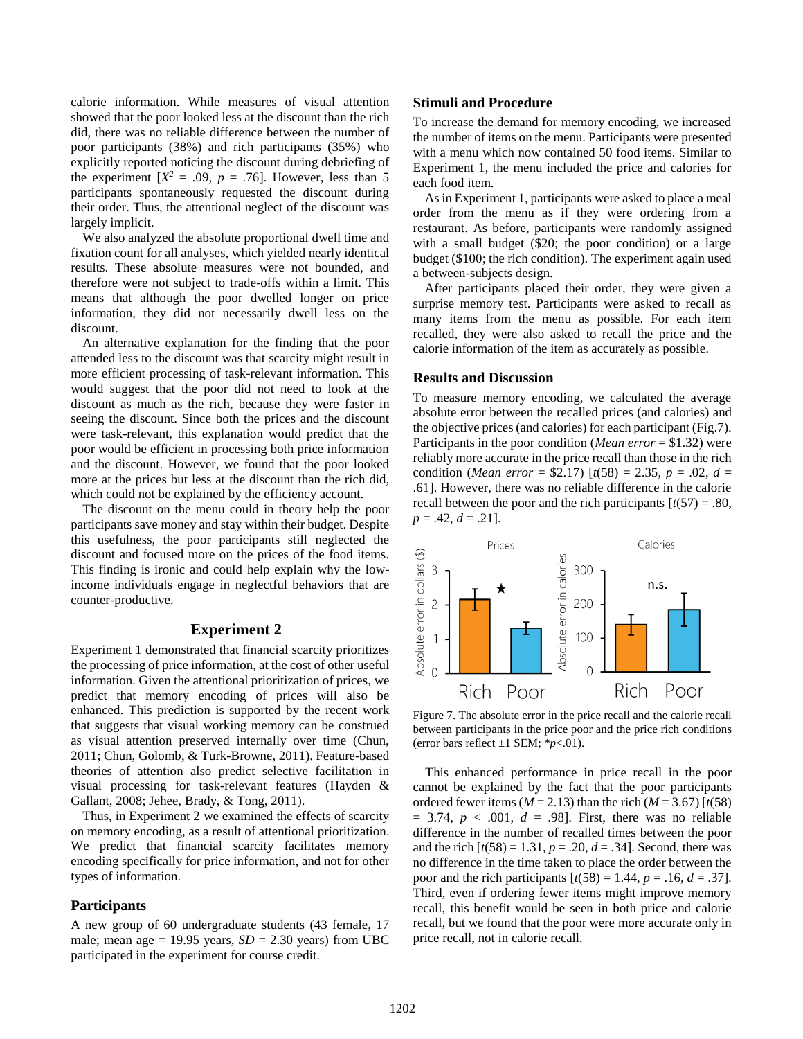calorie information. While measures of visual attention showed that the poor looked less at the discount than the rich did, there was no reliable difference between the number of poor participants (38%) and rich participants (35%) who explicitly reported noticing the discount during debriefing of the experiment  $[X^2 = .09, p = .76]$ . However, less than 5 participants spontaneously requested the discount during their order. Thus, the attentional neglect of the discount was largely implicit.

We also analyzed the absolute proportional dwell time and fixation count for all analyses, which yielded nearly identical results. These absolute measures were not bounded, and therefore were not subject to trade-offs within a limit. This means that although the poor dwelled longer on price information, they did not necessarily dwell less on the discount.

An alternative explanation for the finding that the poor attended less to the discount was that scarcity might result in more efficient processing of task-relevant information. This would suggest that the poor did not need to look at the discount as much as the rich, because they were faster in seeing the discount. Since both the prices and the discount were task-relevant, this explanation would predict that the poor would be efficient in processing both price information and the discount. However, we found that the poor looked more at the prices but less at the discount than the rich did, which could not be explained by the efficiency account.

The discount on the menu could in theory help the poor participants save money and stay within their budget. Despite this usefulness, the poor participants still neglected the discount and focused more on the prices of the food items. This finding is ironic and could help explain why the lowincome individuals engage in neglectful behaviors that are counter-productive.

## **Experiment 2**

Experiment 1 demonstrated that financial scarcity prioritizes the processing of price information, at the cost of other useful information. Given the attentional prioritization of prices, we predict that memory encoding of prices will also be enhanced. This prediction is supported by the recent work that suggests that visual working memory can be construed as visual attention preserved internally over time (Chun, 2011; Chun, Golomb, & Turk-Browne, 2011). Feature-based theories of attention also predict selective facilitation in visual processing for task-relevant features (Hayden & Gallant, 2008; Jehee, Brady, & Tong, 2011).

Thus, in Experiment 2 we examined the effects of scarcity on memory encoding, as a result of attentional prioritization. We predict that financial scarcity facilitates memory encoding specifically for price information, and not for other types of information.

## **Participants**

A new group of 60 undergraduate students (43 female, 17 male; mean age  $= 19.95$  years,  $SD = 2.30$  years) from UBC participated in the experiment for course credit.

#### **Stimuli and Procedure**

To increase the demand for memory encoding, we increased the number of items on the menu. Participants were presented with a menu which now contained 50 food items. Similar to Experiment 1, the menu included the price and calories for each food item.

As in Experiment 1, participants were asked to place a meal order from the menu as if they were ordering from a restaurant. As before, participants were randomly assigned with a small budget (\$20; the poor condition) or a large budget (\$100; the rich condition). The experiment again used a between-subjects design.

After participants placed their order, they were given a surprise memory test. Participants were asked to recall as many items from the menu as possible. For each item recalled, they were also asked to recall the price and the calorie information of the item as accurately as possible.

## **Results and Discussion**

To measure memory encoding, we calculated the average absolute error between the recalled prices (and calories) and the objective prices(and calories) for each participant (Fig.7). Participants in the poor condition (*Mean error* = \$1.32) were reliably more accurate in the price recall than those in the rich condition (*Mean error* = \$2.17)  $[t(58) = 2.35, p = .02, d =$ .61]. However, there was no reliable difference in the calorie recall between the poor and the rich participants  $[t(57) = .80]$ ,  $p = .42, d = .21$ .



Figure 7. The absolute error in the price recall and the calorie recall between participants in the price poor and the price rich conditions (error bars reflect  $\pm 1$  SEM;  $* p < .01$ ).

This enhanced performance in price recall in the poor cannot be explained by the fact that the poor participants ordered fewer items ( $M = 2.13$ ) than the rich ( $M = 3.67$ ) [ $t(58)$ ]  $= 3.74$ ,  $p < .001$ ,  $d = .98$ . First, there was no reliable difference in the number of recalled times between the poor and the rich  $[t(58) = 1.31, p = .20, d = .34]$ . Second, there was no difference in the time taken to place the order between the poor and the rich participants  $[t(58) = 1.44, p = .16, d = .37]$ . Third, even if ordering fewer items might improve memory recall, this benefit would be seen in both price and calorie recall, but we found that the poor were more accurate only in price recall, not in calorie recall.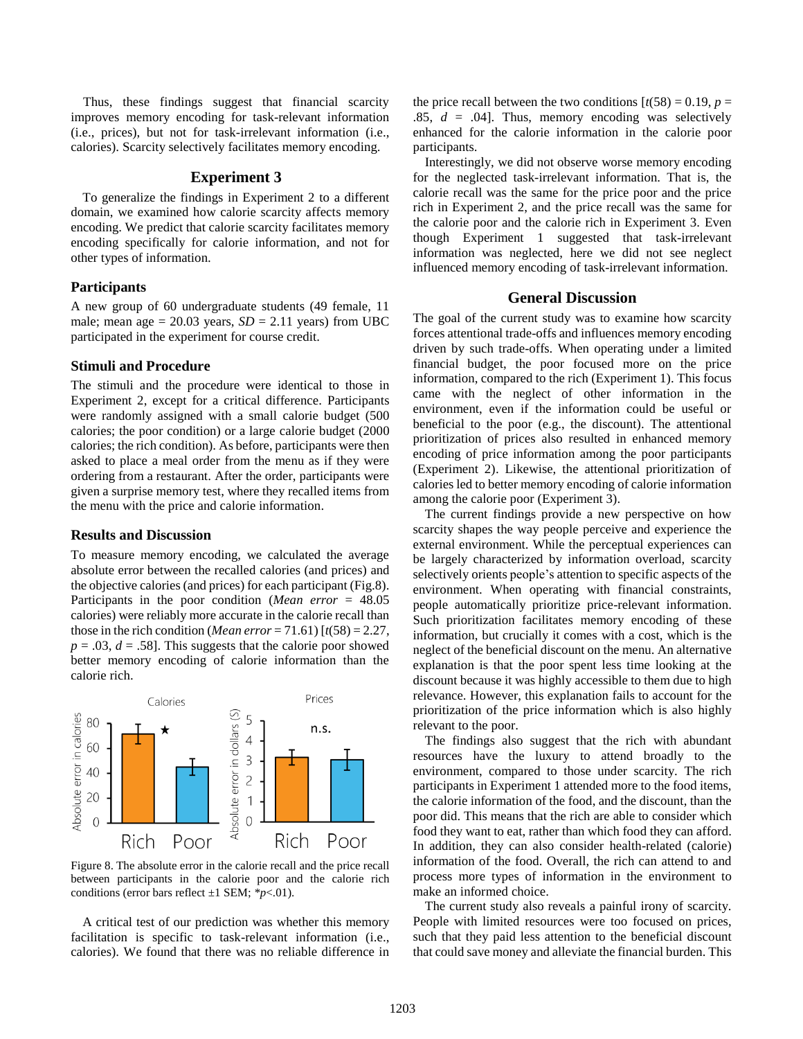Thus, these findings suggest that financial scarcity improves memory encoding for task-relevant information (i.e., prices), but not for task-irrelevant information (i.e., calories). Scarcity selectively facilitates memory encoding.

#### **Experiment 3**

To generalize the findings in Experiment 2 to a different domain, we examined how calorie scarcity affects memory encoding. We predict that calorie scarcity facilitates memory encoding specifically for calorie information, and not for other types of information.

# **Participants**

A new group of 60 undergraduate students (49 female, 11 male; mean age  $= 20.03$  years,  $SD = 2.11$  years) from UBC participated in the experiment for course credit.

# **Stimuli and Procedure**

The stimuli and the procedure were identical to those in Experiment 2, except for a critical difference. Participants were randomly assigned with a small calorie budget (500 calories; the poor condition) or a large calorie budget (2000 calories; the rich condition). As before, participants were then asked to place a meal order from the menu as if they were ordering from a restaurant. After the order, participants were given a surprise memory test, where they recalled items from the menu with the price and calorie information.

#### **Results and Discussion**

To measure memory encoding, we calculated the average absolute error between the recalled calories (and prices) and the objective calories(and prices) for each participant (Fig.8). Participants in the poor condition (*Mean error* = 48.05 calories) were reliably more accurate in the calorie recall than those in the rich condition (*Mean error* = 71.61)  $[t(58) = 2.27$ ,  $p = .03$ ,  $d = .58$ . This suggests that the calorie poor showed better memory encoding of calorie information than the calorie rich.



Figure 8. The absolute error in the calorie recall and the price recall between participants in the calorie poor and the calorie rich conditions (error bars reflect ±1 SEM; \**p*<.01).

A critical test of our prediction was whether this memory facilitation is specific to task-relevant information (i.e., calories). We found that there was no reliable difference in the price recall between the two conditions  $[t(58) = 0.19, p =$ .85,  $d = .04$ . Thus, memory encoding was selectively enhanced for the calorie information in the calorie poor participants.

Interestingly, we did not observe worse memory encoding for the neglected task-irrelevant information. That is, the calorie recall was the same for the price poor and the price rich in Experiment 2, and the price recall was the same for the calorie poor and the calorie rich in Experiment 3. Even though Experiment 1 suggested that task-irrelevant information was neglected, here we did not see neglect influenced memory encoding of task-irrelevant information.

#### **General Discussion**

The goal of the current study was to examine how scarcity forces attentional trade-offs and influences memory encoding driven by such trade-offs. When operating under a limited financial budget, the poor focused more on the price information, compared to the rich (Experiment 1). This focus came with the neglect of other information in the environment, even if the information could be useful or beneficial to the poor (e.g., the discount). The attentional prioritization of prices also resulted in enhanced memory encoding of price information among the poor participants (Experiment 2). Likewise, the attentional prioritization of calories led to better memory encoding of calorie information among the calorie poor (Experiment 3).

The current findings provide a new perspective on how scarcity shapes the way people perceive and experience the external environment. While the perceptual experiences can be largely characterized by information overload, scarcity selectively orients people's attention to specific aspects of the environment. When operating with financial constraints, people automatically prioritize price-relevant information. Such prioritization facilitates memory encoding of these information, but crucially it comes with a cost, which is the neglect of the beneficial discount on the menu. An alternative explanation is that the poor spent less time looking at the discount because it was highly accessible to them due to high relevance. However, this explanation fails to account for the prioritization of the price information which is also highly relevant to the poor.

The findings also suggest that the rich with abundant resources have the luxury to attend broadly to the environment, compared to those under scarcity. The rich participants in Experiment 1 attended more to the food items, the calorie information of the food, and the discount, than the poor did. This means that the rich are able to consider which food they want to eat, rather than which food they can afford. In addition, they can also consider health-related (calorie) information of the food. Overall, the rich can attend to and process more types of information in the environment to make an informed choice.

The current study also reveals a painful irony of scarcity. People with limited resources were too focused on prices, such that they paid less attention to the beneficial discount that could save money and alleviate the financial burden. This